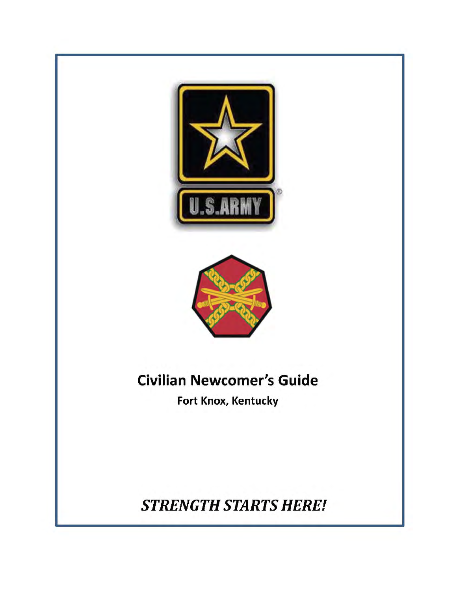



# Civilian Newcomer's Guide

Fort Knox, Kentucky

STRENGTH STARTS HERE!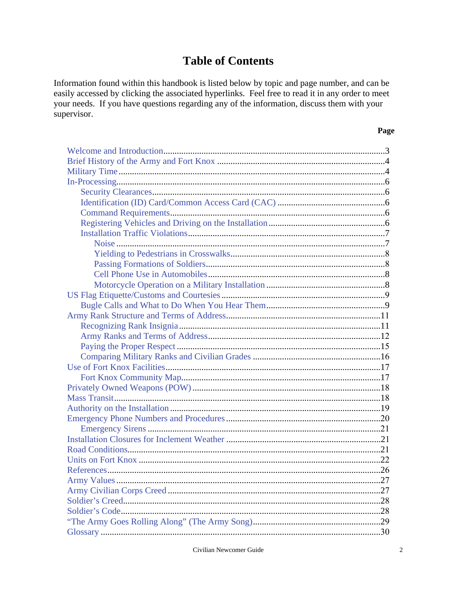## **Table of Contents**

<span id="page-1-0"></span>Information found within this handbook is listed below by topic and page number, and can be easily accessed by clicking the associated hyperlinks. Feel free to read it in any order to meet your needs. If you have questions regarding any of the information, discuss them with your supervisor.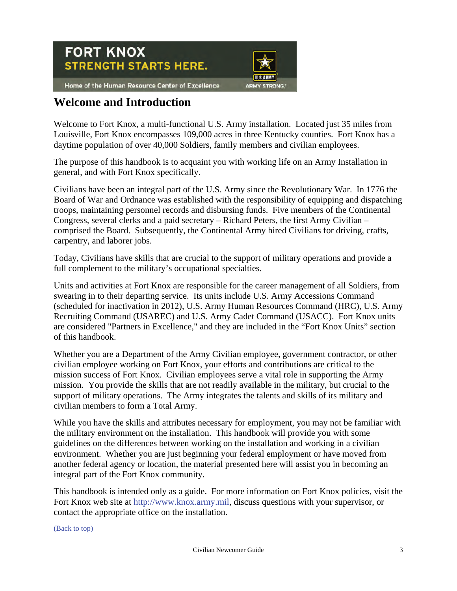<span id="page-2-0"></span>

## **Welcome and Introduction**

Welcome to Fort Knox, a multi-functional U.S. Army installation. Located just 35 miles from Louisville, Fort Knox encompasses 109,000 acres in three Kentucky counties. Fort Knox has a daytime population of over 40,000 Soldiers, family members and civilian employees.

The purpose of this handbook is to acquaint you with working life on an Army Installation in general, and with Fort Knox specifically.

Civilians have been an integral part of the U.S. Army since the Revolutionary War. In 1776 the Board of War and Ordnance was established with the responsibility of equipping and dispatching troops, maintaining personnel records and disbursing funds. Five members of the Continental Congress, several clerks and a paid secretary – Richard Peters, the first Army Civilian – comprised the Board. Subsequently, the Continental Army hired Civilians for driving, crafts, carpentry, and laborer jobs.

Today, Civilians have skills that are crucial to the support of military operations and provide a full complement to the military's occupational specialties.

Units and activities at Fort Knox are responsible for the career management of all Soldiers, from swearing in to their departing service. Its units include U.S. Army Accessions Command (scheduled for inactivation in 2012), U.S. Army Human Resources Command (HRC), U.S. Army Recruiting Command (USAREC) and U.S. Army Cadet Command (USACC). Fort Knox units are considered "Partners in Excellence," and they are included in the "Fort Knox Units" section of this handbook.

Whether you are a Department of the Army Civilian employee, government contractor, or other civilian employee working on Fort Knox, your efforts and contributions are critical to the mission success of Fort Knox. Civilian employees serve a vital role in supporting the Army mission. You provide the skills that are not readily available in the military, but crucial to the support of military operations. The Army integrates the talents and skills of its military and civilian members to form a Total Army.

While you have the skills and attributes necessary for employment, you may not be familiar with the military environment on the installation. This handbook will provide you with some guidelines on the differences between working on the installation and working in a civilian environment. Whether you are just beginning your federal employment or have moved from another federal agency or location, the material presented here will assist you in becoming an integral part of the Fort Knox community.

This handbook is intended only as a guide. For more information on Fort Knox policies, visit the Fort Knox web site at [http://www.knox.army.mil,](http://www.knox.army.mil) discuss questions with your supervisor, or contact the appropriate office on the installation.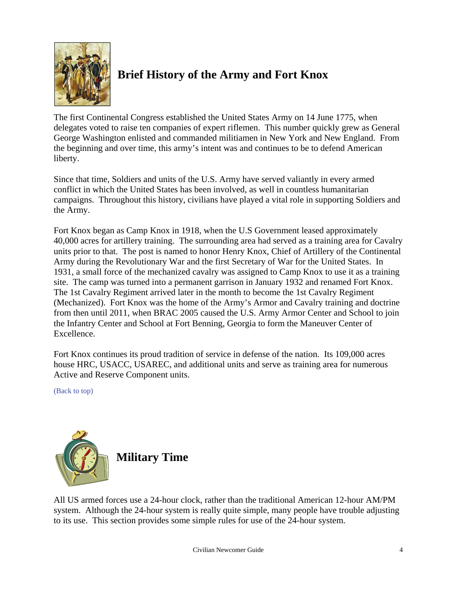<span id="page-3-0"></span>

## **Brief History of the Army and Fort Knox**

The first Continental Congress established the United States Army on 14 June 1775, when delegates voted to raise ten companies of expert riflemen. This number quickly grew as General George Washington enlisted and commanded militiamen in New York and New England. From the beginning and over time, this army's intent was and continues to be to defend American liberty.

Since that time, Soldiers and units of the U.S. Army have served valiantly in every armed conflict in which the United States has been involved, as well in countless humanitarian campaigns. Throughout this history, civilians have played a vital role in supporting Soldiers and the Army.

Fort Knox began as Camp Knox in 1918, when the U.S Government leased approximately 40,000 acres for artillery training. The surrounding area had served as a training area for Cavalry units prior to that. The post is named to honor Henry Knox, Chief of Artillery of the Continental Army during the Revolutionary War and the first Secretary of War for the United States. In 1931, a small force of the mechanized cavalry was assigned to Camp Knox to use it as a training site. The camp was turned into a permanent garrison in January 1932 and renamed Fort Knox. The 1st Cavalry Regiment arrived later in the month to become the 1st Cavalry Regiment (Mechanized). Fort Knox was the home of the Army's Armor and Cavalry training and doctrine from then until 2011, when BRAC 2005 caused the U.S. Army Armor Center and School to join the Infantry Center and School at Fort Benning, Georgia to form the Maneuver Center of Excellence.

<span id="page-3-1"></span>Fort Knox continues its proud tradition of service in defense of the nation. Its 109,000 acres house HRC, USACC, USAREC, and additional units and serve as training area for numerous Active and Reserve Component units.

[\(Back to top\)](#page-1-0)



All US armed forces use a 24-hour clock, rather than the traditional American 12-hour AM/PM system. Although the 24-hour system is really quite simple, many people have trouble adjusting to its use. This section provides some simple rules for use of the 24-hour system.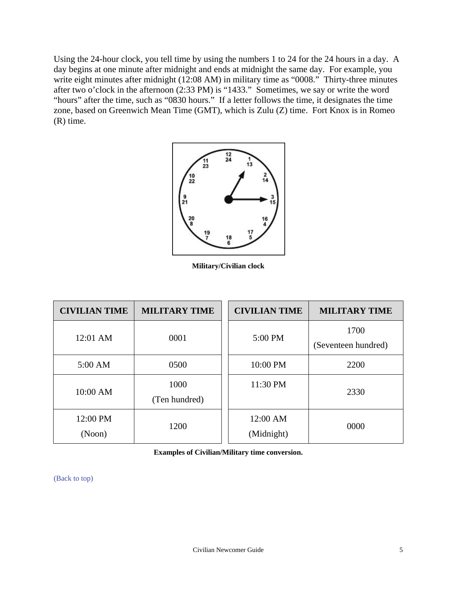Using the 24-hour clock, you tell time by using the numbers 1 to 24 for the 24 hours in a day. A day begins at one minute after midnight and ends at midnight the same day. For example, you write eight minutes after midnight (12:08 AM) in military time as "0008." Thirty-three minutes after two o'clock in the afternoon (2:33 PM) is "1433." Sometimes, we say or write the word "hours" after the time, such as "0830 hours." If a letter follows the time, it designates the time zone, based on Greenwich Mean Time (GMT), which is Zulu (Z) time. Fort Knox is in Romeo (R) time.



**Military/Civilian clock** 

| <b>CIVILIAN TIME</b> | <b>MILITARY TIME</b>  | <b>CIVILIAN TIME</b>   | <b>MILITARY TIME</b>        |
|----------------------|-----------------------|------------------------|-----------------------------|
| 12:01 AM             | 0001                  | 5:00 PM                | 1700<br>(Seventeen hundred) |
| $5:00$ AM            | 0500                  | 10:00 PM               | 2200                        |
| 10:00 AM             | 1000<br>(Ten hundred) | 11:30 PM               | 2330                        |
| 12:00 PM<br>(Noon)   | 1200                  | 12:00 AM<br>(Midnight) | 0000                        |

**Examples of Civilian/Military time conversion.**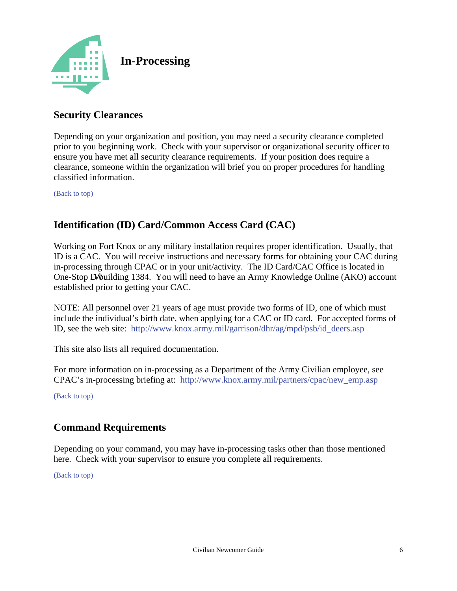<span id="page-5-1"></span><span id="page-5-0"></span>

## **Security Clearances**

Depending on your organization and position, you may need a security clearance completed prior to you beginning work. Check with your supervisor or organizational security officer to ensure you have met all security clearance requirements. If your position does require a clearance, someone within the organization will brief you on proper procedures for handling classified information.

[\(Back to top\)](#page-1-0)

## <span id="page-5-2"></span>**Identification (ID) Card/Common Access Card (CAC)**

Working on Fort Knox or any military installation requires proper identification. Usually, that ID is a CAC. You will receive instructions and necessary forms for obtaining your CAC during in-processing through CPAC or in your unit/activity. The ID Card/CAC Office is located in One-Stop cybuilding 1384. You will need to have an Army Knowledge Online (AKO) account established prior to getting your CAC.

NOTE: All personnel over 21 years of age must provide two forms of ID, one of which must include the individual's birth date, when applying for a CAC or ID card. For accepted forms of ID, see the web site: [http://www.knox.army.mil/garrison/dhr/ag/mpd/psb/id\\_deers.asp](http://www.knox.army.mil/garrison/dhr/ag/mpd/psb/id_deers.asp)

This site also lists all required documentation.

For more information on in-processing as a Department of the Army Civilian employee, see CPAC's in-processing briefing at: [http://www.knox.army.mil/partners/cpac/new\\_emp.asp](http://www.knox.army.mil/partners/cpac/new_emp.asp)

[\(Back to top\)](#page-1-0)

## **Command Requirements**

Depending on your command, you may have in-processing tasks other than those mentioned here. Check with your supervisor to ensure you complete all requirements.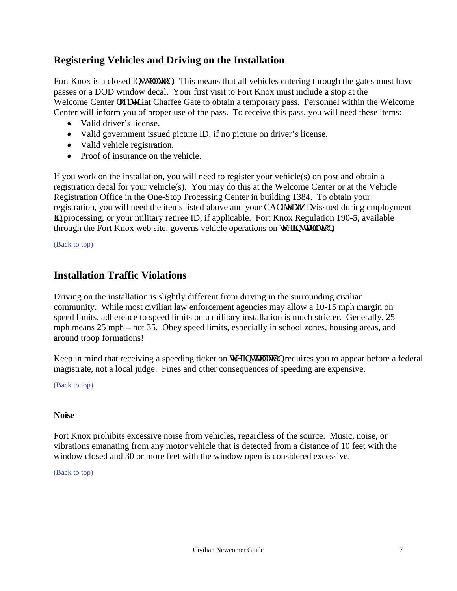## <span id="page-6-0"></span>**Registering Vehicles and Driving on the Installation**

Fort Knox is a closed low compute This means that all vehicles entering through the gates must have passes or a DOD window decal. Your first visit to Fort Knox must include a stop at the Welcome Center mecy f"at Chaffee Gate to obtain a temporary pass. Personnel within the Welcome Center will inform you of proper use of the pass. To receive this pass, you will need these items:

- Valid driver's license.
- Valid government issued picture ID, if no picture on driver's license.
- Valid vehicle registration.
- Proof of insurance on the vehicle.

<span id="page-6-1"></span>If you work on the installation, you will need to register your vehicle(s) on post and obtain a registration decal for your vehicle(s). You may do this at the Welcome Center or at the Vehicle Registration Office in the One-Stop Processing Center in building 1384. To obtain your registration, you will need the items listed above and your CAC's cv'y cuissued during employment LQprocessing, or your military retiree ID, if applicable. Fort Knox Regulation 190-5, available through the Fort Knox web site, governs vehicle operations on  $\dot{y}$  g'low the U<sub>P</sub>.

[\(Back to top\)](#page-1-0)

### **Installation Traffic Violations**

Driving on the installation is slightly different from driving in the surrounding civilian community. While most civilian law enforcement agencies may allow a 10-15 mph margin on speed limits, adherence to speed limits on a military installation is much stricter. Generally, 25 mph means 25 mph – not 35. Obey speed limits, especially in school zones, housing areas, and around troop formations!

Keep in mind that receiving a speeding ticket on  $\dot{\mathbf{y}}$  g' pure the requires you to appear before a federal magistrate, not a local judge. Fines and other consequences of speeding are expensive.

[\(Back to top\)](#page-1-0)

#### **Noise**

Fort Knox prohibits excessive noise from vehicles, regardless of the source. Music, noise, or vibrations emanating from any motor vehicle that is detected from a distance of 10 feet with the window closed and 30 or more feet with the window open is considered excessive.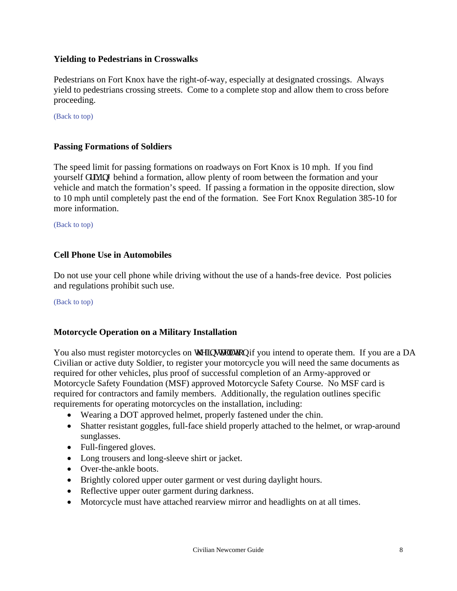#### <span id="page-7-0"></span>**Yielding to Pedestrians in Crosswalks**

Pedestrians on Fort Knox have the right-of-way, especially at designated crossings. Always yield to pedestrians crossing streets. Come to a complete stop and allow them to cross before proceeding.

[\(Back to top\)](#page-1-0)

#### **Passing Formations of Soldiers**

The speed limit for passing formations on roadways on Fort Knox is 10 mph. If you find yourself f t kk bi behind a formation, allow plenty of room between the formation and your vehicle and match the formation's speed. If passing a formation in the opposite direction, slow to 10 mph until completely past the end of the formation. See Fort Knox Regulation 385-10 for more information.

<span id="page-7-1"></span>[\(Back to top\)](#page-1-0)

#### **Cell Phone Use in Automobiles**

Do not use your cell phone while driving without the use of a hands-free device. Post policies and regulations prohibit such use.

[\(Back to top\)](#page-1-0)

#### **Motorcycle Operation on a Military Installation**

You also must register motorcycles on y g'lpuxent up if you intend to operate them. If you are a DA Civilian or active duty Soldier, to register your motorcycle you will need the same documents as required for other vehicles, plus proof of successful completion of an Army-approved or Motorcycle Safety Foundation (MSF) approved Motorcycle Safety Course. No MSF card is required for contractors and family members. Additionally, the regulation outlines specific requirements for operating motorcycles on the installation, including:

- Wearing a DOT approved helmet, properly fastened under the chin.
- Shatter resistant goggles, full-face shield properly attached to the helmet, or wrap-around sunglasses.
- Full-fingered gloves.
- Long trousers and long-sleeve shirt or jacket.
- Over-the-ankle boots.
- Brightly colored upper outer garment or vest during daylight hours.
- Reflective upper outer garment during darkness.
- Motorcycle must have attached rearview mirror and headlights on at all times.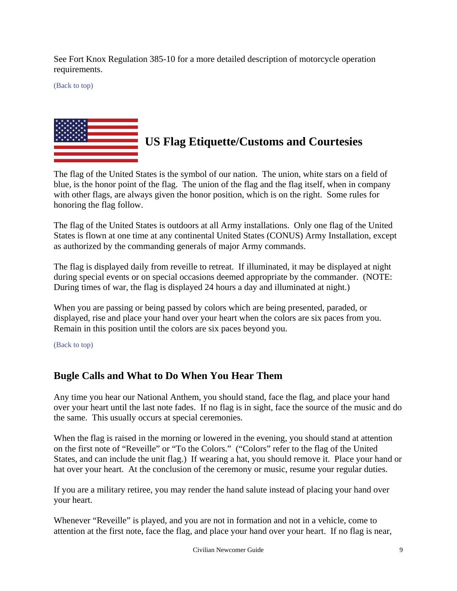<span id="page-8-0"></span>See Fort Knox Regulation 385-10 for a more detailed description of motorcycle operation requirements.

[\(Back to top\)](#page-1-0)



## **US Flag Etiquette/Customs and Courtesies**

The flag of the United States is the symbol of our nation. The union, white stars on a field of blue, is the honor point of the flag. The union of the flag and the flag itself, when in company with other flags, are always given the honor position, which is on the right. Some rules for honoring the flag follow.

The flag of the United States is outdoors at all Army installations. Only one flag of the United States is flown at one time at any continental United States (CONUS) Army Installation, except as authorized by the commanding generals of major Army commands.

<span id="page-8-1"></span>The flag is displayed daily from reveille to retreat. If illuminated, it may be displayed at night during special events or on special occasions deemed appropriate by the commander. (NOTE: During times of war, the flag is displayed 24 hours a day and illuminated at night.)

When you are passing or being passed by colors which are being presented, paraded, or displayed, rise and place your hand over your heart when the colors are six paces from you. Remain in this position until the colors are six paces beyond you.

[\(Back to top\)](#page-1-0)

## **Bugle Calls and What to Do When You Hear Them**

Any time you hear our National Anthem, you should stand, face the flag, and place your hand over your heart until the last note fades. If no flag is in sight, face the source of the music and do the same. This usually occurs at special ceremonies.

When the flag is raised in the morning or lowered in the evening, you should stand at attention on the first note of "Reveille" or "To the Colors." ("Colors" refer to the flag of the United States, and can include the unit flag.) If wearing a hat, you should remove it. Place your hand or hat over your heart. At the conclusion of the ceremony or music, resume your regular duties.

If you are a military retiree, you may render the hand salute instead of placing your hand over your heart.

Whenever "Reveille" is played, and you are not in formation and not in a vehicle, come to attention at the first note, face the flag, and place your hand over your heart. If no flag is near,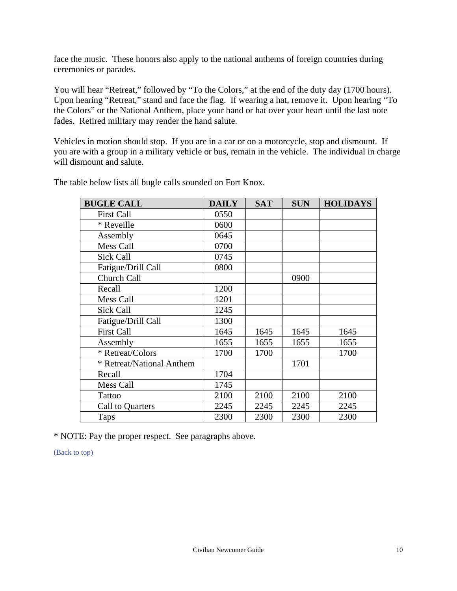face the music. These honors also apply to the national anthems of foreign countries during ceremonies or parades.

You will hear "Retreat," followed by "To the Colors," at the end of the duty day (1700 hours). Upon hearing "Retreat," stand and face the flag. If wearing a hat, remove it. Upon hearing "To the Colors" or the National Anthem, place your hand or hat over your heart until the last note fades. Retired military may render the hand salute.

Vehicles in motion should stop. If you are in a car or on a motorcycle, stop and dismount. If you are with a group in a military vehicle or bus, remain in the vehicle. The individual in charge will dismount and salute.

| <b>BUGLE CALL</b>         | <b>DAILY</b> | <b>SAT</b> | <b>SUN</b> | <b>HOLIDAYS</b> |
|---------------------------|--------------|------------|------------|-----------------|
| <b>First Call</b>         | 0550         |            |            |                 |
| * Reveille                | 0600         |            |            |                 |
| Assembly                  | 0645         |            |            |                 |
| Mess Call                 | 0700         |            |            |                 |
| Sick Call                 | 0745         |            |            |                 |
| Fatigue/Drill Call        | 0800         |            |            |                 |
| Church Call               |              |            | 0900       |                 |
| Recall                    | 1200         |            |            |                 |
| Mess Call                 | 1201         |            |            |                 |
| Sick Call                 | 1245         |            |            |                 |
| Fatigue/Drill Call        | 1300         |            |            |                 |
| <b>First Call</b>         | 1645         | 1645       | 1645       | 1645            |
| Assembly                  | 1655         | 1655       | 1655       | 1655            |
| * Retreat/Colors          | 1700         | 1700       |            | 1700            |
| * Retreat/National Anthem |              |            | 1701       |                 |
| Recall                    | 1704         |            |            |                 |
| Mess Call                 | 1745         |            |            |                 |
| <b>Tattoo</b>             | 2100         | 2100       | 2100       | 2100            |
| Call to Quarters          | 2245         | 2245       | 2245       | 2245            |
| <b>Taps</b>               | 2300         | 2300       | 2300       | 2300            |

The table below lists all bugle calls sounded on Fort Knox.

\* NOTE: Pay the proper respect. See paragraphs above.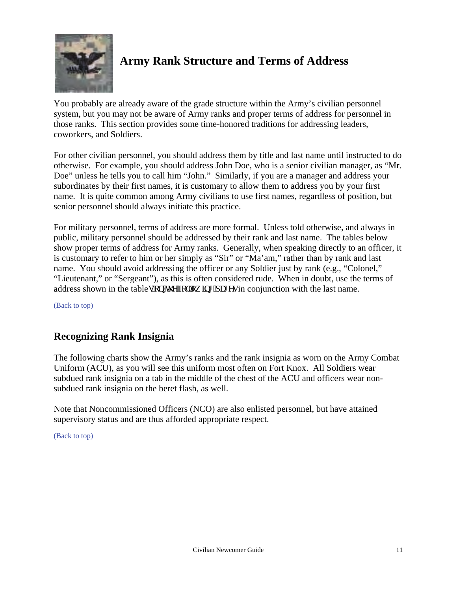<span id="page-10-0"></span>

## **Army Rank Structure and Terms of Address**

You probably are already aware of the grade structure within the Army's civilian personnel system, but you may not be aware of Army ranks and proper terms of address for personnel in those ranks. This section provides some time-honored traditions for addressing leaders, coworkers, and Soldiers.

<span id="page-10-1"></span>For other civilian personnel, you should address them by title and last name until instructed to do otherwise. For example, you should address John Doe, who is a senior civilian manager, as "Mr. Doe" unless he tells you to call him "John." Similarly, if you are a manager and address your subordinates by their first names, it is customary to allow them to address you by your first name. It is quite common among Army civilians to use first names, regardless of position, but senior personnel should always initiate this practice.

For military personnel, terms of address are more formal. Unless told otherwise, and always in public, military personnel should be addressed by their rank and last name. The tables below show proper terms of address for Army ranks. Generally, when speaking directly to an officer, it is customary to refer to him or her simply as "Sir" or "Ma'am," rather than by rank and last name. You should avoid addressing the officer or any Soldier just by rank (e.g., "Colonel," "Lieutenant," or "Sergeant"), as this is often considered rude. When in doubt, use the terms of address shown in the tableu''qp''vig''n proprietive particles in conjunction with the last name.

[\(Back to top\)](#page-1-0)

## **Recognizing Rank Insignia**

The following charts show the Army's ranks and the rank insignia as worn on the Army Combat Uniform (ACU), as you will see this uniform most often on Fort Knox. All Soldiers wear subdued rank insignia on a tab in the middle of the chest of the ACU and officers wear nonsubdued rank insignia on the beret flash, as well.

Note that Noncommissioned Officers (NCO) are also enlisted personnel, but have attained supervisory status and are thus afforded appropriate respect.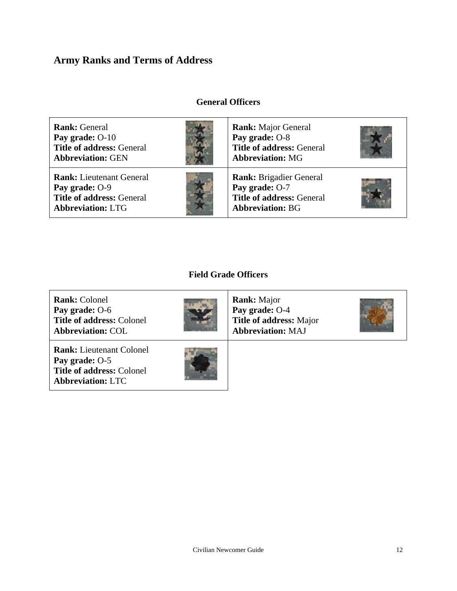### <span id="page-11-0"></span>**Army Ranks and Terms of Address**

#### **General Officers**

**Rank:** General **Pay grade:** O-10 **Title of address:** General **Abbreviation:** GEN **Rank:** Major General **Pay grade:** O-8 **Title of address:** General **Abbreviation:** MG **Rank:** Lieutenant General **Pay grade:** O-9 **Title of address:** General **Abbreviation:** LTG **Rank:** Brigadier General **Pay grade:** O-7 **Title of address:** General **Abbreviation:** BG

#### **Field Grade Officers**

**Rank:** Colonel **Pay grade:** O-6 **Title of address:** Colonel **Abbreviation:** COL

**Rank:** Lieutenant Colonel **Pay grade:** O-5 **Title of address:** Colonel **Abbreviation:** LTC



**Rank:** Major **Pay grade:** O-4 **Title of address:** Major **Abbreviation:** MAJ

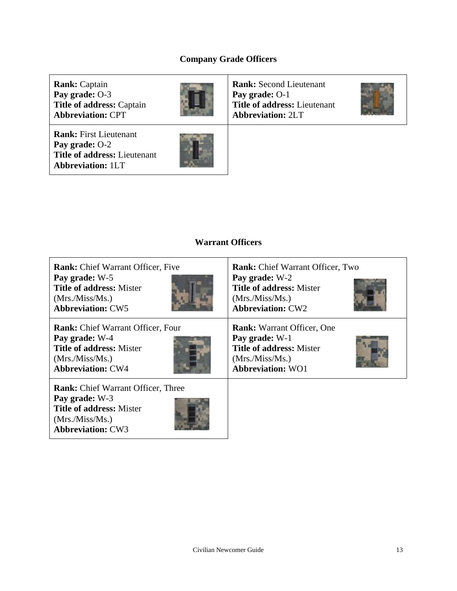### **Company Grade Officers**

**Rank:** Captain **Pay grade:** O-3 **Title of address:** Captain **Abbreviation:** CPT

**Rank:** First Lieutenant **Pay grade:** O-2 **Title of address:** Lieutenant **Abbreviation:** 1LT

**Abbreviation:** CW3



**Rank:** Second Lieutenant **Pay grade:** O-1 **Title of address:** Lieutenant **Abbreviation:** 2LT



#### **Warrant Officers**

| <b>Rank:</b> Chief Warrant Officer, Five                                                                          | <b>Rank:</b> Chief Warrant Officer, Two |
|-------------------------------------------------------------------------------------------------------------------|-----------------------------------------|
| Pay grade: W-5                                                                                                    | Pay grade: W-2                          |
| <b>Title of address: Mister</b>                                                                                   | <b>Title of address: Mister</b>         |
| (Mrs./Miss/Ms.)                                                                                                   | (Mrs./Miss/Ms.)                         |
| <b>Abbreviation: CW5</b>                                                                                          | <b>Abbreviation: CW2</b>                |
| <b>Rank:</b> Chief Warrant Officer, Four                                                                          | <b>Rank:</b> Warrant Officer, One       |
| Pay grade: W-4                                                                                                    | Pay grade: W-1                          |
| <b>Title of address: Mister</b>                                                                                   | <b>Title of address: Mister</b>         |
| (Mrs./Miss/Ms.)                                                                                                   | (Mrs./Miss/Ms.)                         |
| <b>Abbreviation: CW4</b>                                                                                          | <b>Abbreviation: WO1</b>                |
| <b>Rank:</b> Chief Warrant Officer, Three<br>Pay grade: W-3<br><b>Title of address: Mister</b><br>(Mrs./Miss/Ms.) |                                         |

A State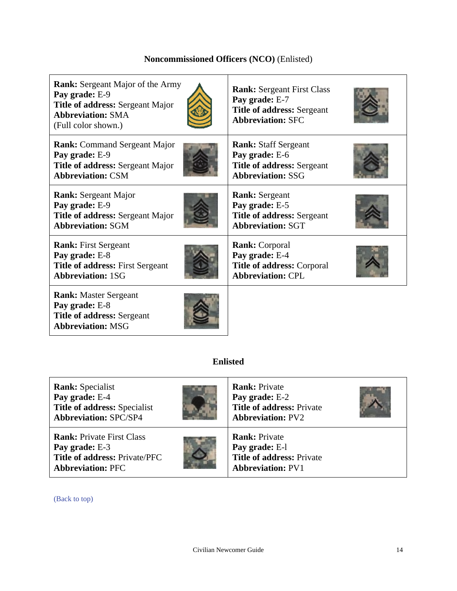### **Noncommissioned Officers (NCO)** (Enlisted)

| <b>Rank:</b> Sergeant Major of the Army<br>Pay grade: E-9<br>Title of address: Sergeant Major<br><b>Abbreviation: SMA</b><br>(Full color shown.) | <b>Rank:</b> Sergeant First Class<br>Pay grade: E-7<br><b>Title of address: Sergeant</b><br><b>Abbreviation: SFC</b> |  |  |
|--------------------------------------------------------------------------------------------------------------------------------------------------|----------------------------------------------------------------------------------------------------------------------|--|--|
| <b>Rank:</b> Command Sergeant Major                                                                                                              | <b>Rank:</b> Staff Sergeant                                                                                          |  |  |
| Pay grade: E-9                                                                                                                                   | Pay grade: E-6                                                                                                       |  |  |
| <b>Title of address: Sergeant Major</b>                                                                                                          | <b>Title of address: Sergeant</b>                                                                                    |  |  |
| <b>Abbreviation: CSM</b>                                                                                                                         | <b>Abbreviation: SSG</b>                                                                                             |  |  |
| <b>Rank:</b> Sergeant Major                                                                                                                      | <b>Rank:</b> Sergeant                                                                                                |  |  |
| Pay grade: E-9                                                                                                                                   | Pay grade: E-5                                                                                                       |  |  |
| Title of address: Sergeant Major                                                                                                                 | <b>Title of address: Sergeant</b>                                                                                    |  |  |
| <b>Abbreviation: SGM</b>                                                                                                                         | <b>Abbreviation: SGT</b>                                                                                             |  |  |
| <b>Rank:</b> First Sergeant                                                                                                                      | <b>Rank:</b> Corporal                                                                                                |  |  |
| Pay grade: E-8                                                                                                                                   | Pay grade: E-4                                                                                                       |  |  |
| Title of address: First Sergeant                                                                                                                 | Title of address: Corporal                                                                                           |  |  |
| <b>Abbreviation: 1SG</b>                                                                                                                         | <b>Abbreviation: CPL</b>                                                                                             |  |  |
| <b>Rank:</b> Master Sergeant<br>Pay grade: E-8<br><b>Title of address: Sergeant</b><br><b>Abbreviation: MSG</b>                                  |                                                                                                                      |  |  |
| <b>Enlisted</b>                                                                                                                                  |                                                                                                                      |  |  |

**Rank:** Specialist **Pay grade:** E-4 **Title of address:** Specialist **Abbreviation:** SPC/SP4 **Rank:** Private **Pay grade:** E-2 **Title of address:** Private **Abbreviation:** PV2 **Rank:** Private First Class **Pay grade:** E-3 **Title of address:** Private/PFC **Abbreviation:** PFC **Rank:** Private **Pay grade:** E-l **Title of address:** Private **Abbreviation:** PV1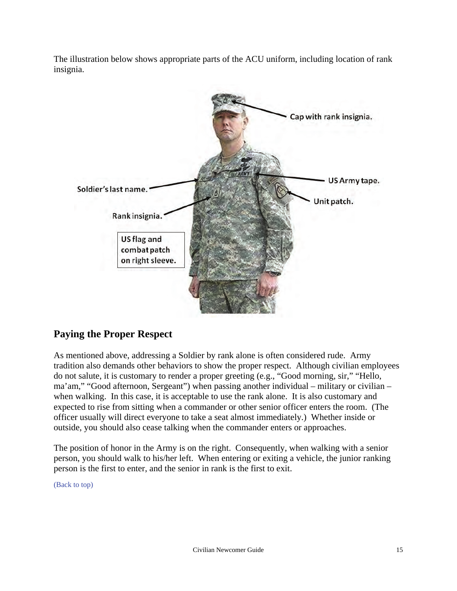The illustration below shows appropriate parts of the ACU uniform, including location of rank insignia.



## <span id="page-14-0"></span>**Paying the Proper Respect**

As mentioned above, addressing a Soldier by rank alone is often considered rude. Army tradition also demands other behaviors to show the proper respect. Although civilian employees do not salute, it is customary to render a proper greeting (e.g., "Good morning, sir," "Hello, ma'am," "Good afternoon, Sergeant") when passing another individual – military or civilian – when walking. In this case, it is acceptable to use the rank alone. It is also customary and expected to rise from sitting when a commander or other senior officer enters the room. (The officer usually will direct everyone to take a seat almost immediately.) Whether inside or outside, you should also cease talking when the commander enters or approaches.

The position of honor in the Army is on the right. Consequently, when walking with a senior person, you should walk to his/her left. When entering or exiting a vehicle, the junior ranking person is the first to enter, and the senior in rank is the first to exit.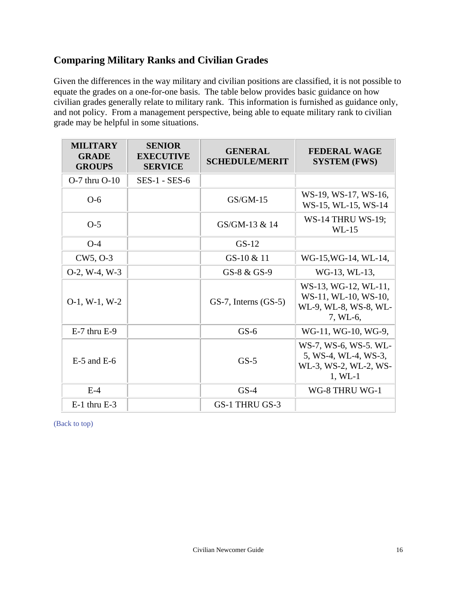## <span id="page-15-0"></span>**Comparing Military Ranks and Civilian Grades**

Given the differences in the way military and civilian positions are classified, it is not possible to equate the grades on a one-for-one basis. The table below provides basic guidance on how civilian grades generally relate to military rank. This information is furnished as guidance only, and not policy. From a management perspective, being able to equate military rank to civilian grade may be helpful in some situations.

| <b>MILITARY</b><br><b>GRADE</b><br><b>GROUPS</b> | <b>SENIOR</b><br><b>EXECUTIVE</b><br><b>SERVICE</b> | <b>GENERAL</b><br><b>SCHEDULE/MERIT</b> | <b>FEDERAL WAGE</b><br><b>SYSTEM (FWS)</b>                                          |
|--------------------------------------------------|-----------------------------------------------------|-----------------------------------------|-------------------------------------------------------------------------------------|
| $O-7$ thru $O-10$                                | $SES-1 - SES-6$                                     |                                         |                                                                                     |
| $O-6$                                            |                                                     | $GS/GM-15$                              | WS-19, WS-17, WS-16,<br>WS-15, WL-15, WS-14                                         |
| $O-5$                                            |                                                     | GS/GM-13 & 14                           | <b>WS-14 THRU WS-19;</b><br>$WL-15$                                                 |
| $O-4$                                            |                                                     | $GS-12$                                 |                                                                                     |
| CW5, O-3                                         |                                                     | GS-10 & 11                              | WG-15, WG-14, WL-14,                                                                |
| $O-2$ , W-4, W-3                                 |                                                     | GS-8 & GS-9                             | WG-13, WL-13,                                                                       |
| $O-1$ , W $-1$ , W $-2$                          |                                                     | $GS-7$ , Interns $(GS-5)$               | WS-13, WG-12, WL-11,<br>WS-11, WL-10, WS-10,<br>WL-9, WL-8, WS-8, WL-<br>7, WL-6,   |
| $E-7$ thru $E-9$                                 |                                                     | $GS-6$                                  | WG-11, WG-10, WG-9,                                                                 |
| $E-5$ and $E-6$                                  |                                                     | $GS-5$                                  | WS-7, WS-6, WS-5. WL-<br>5, WS-4, WL-4, WS-3,<br>WL-3, WS-2, WL-2, WS-<br>$1, WL-1$ |
| $E-4$                                            |                                                     | $GS-4$                                  | WG-8 THRU WG-1                                                                      |
| $E-1$ thru $E-3$                                 |                                                     | GS-1 THRU GS-3                          |                                                                                     |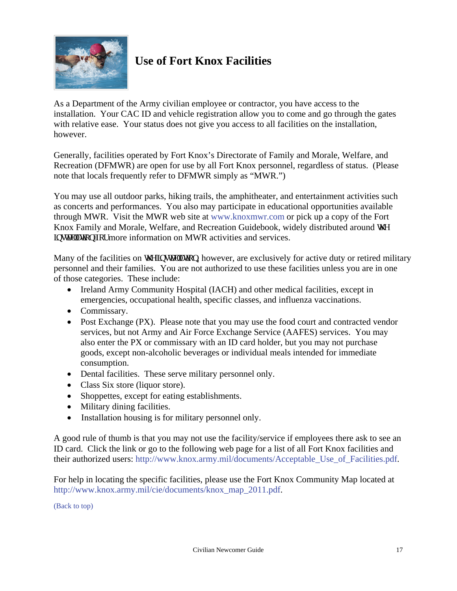<span id="page-16-0"></span>

## **Use of Fort Knox Facilities**

As a Department of the Army civilian employee or contractor, you have access to the installation. Your CAC ID and vehicle registration allow you to come and go through the gates with relative ease. Your status does not give you access to all facilities on the installation, however.

Generally, facilities operated by Fort Knox's Directorate of Family and Morale, Welfare, and Recreation (DFMWR) are open for use by all Fort Knox personnel, regardless of status. (Please note that locals frequently refer to DFMWR simply as "MWR.")

You may use all outdoor parks, hiking trails, the amphitheater, and entertainment activities such as concerts and performances. You also may participate in educational opportunities available through MWR. Visit the MWR web site at [www.knoxmwr.com](http://www.knoxmwr.com) or pick up a copy of the Fort Knox Family and Morale, Welfare, and Recreation Guidebook, widely distributed around  $\dot{M}$ g kpux more information on MWR activities and services.

<span id="page-16-1"></span>Many of the facilities on y g'lpuxcm: lowever, are exclusively for active duty or retired military personnel and their families. You are not authorized to use these facilities unless you are in one of those categories. These include:

- Ireland Army Community Hospital (IACH) and other medical facilities, except in emergencies, occupational health, specific classes, and influenza vaccinations.
- Commissary.
- Post Exchange (PX). Please note that you may use the food court and contracted vendor services, but not Army and Air Force Exchange Service (AAFES) services. You may also enter the PX or commissary with an ID card holder, but you may not purchase goods, except non-alcoholic beverages or individual meals intended for immediate consumption.
- Dental facilities. These serve military personnel only.
- Class Six store (liquor store).
- Shoppettes, except for eating establishments.
- Military dining facilities.
- Installation housing is for military personnel only.

A good rule of thumb is that you may not use the facility/service if employees there ask to see an ID card. Click the link or go to the following web page for a list of all Fort Knox facilities and their authorized users: [http://www.knox.army.mil/documents/Acceptable\\_Use\\_of\\_Facilities.pdf.](http://www.knox.army.mil/documents/Acceptable_Use_of_Facilities.pdf)

For help in locating the specific facilities, please use the Fort Knox Community Map located at [http://www.knox.army.mil/cie/documents/knox\\_map\\_2011.pdf.](http://www.knox.army.mil/cie/documents/knox_map_2011.pdf)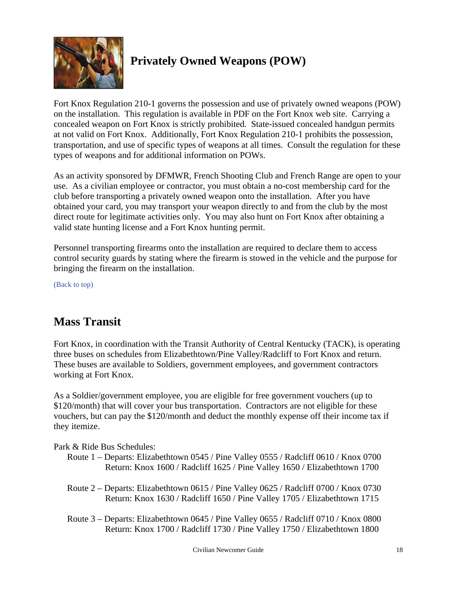<span id="page-17-0"></span>

## **Privately Owned Weapons (POW)**

Fort Knox Regulation 210-1 governs the possession and use of privately owned weapons (POW) on the installation. This regulation is available in PDF on the Fort Knox web site. Carrying a concealed weapon on Fort Knox is strictly prohibited. State-issued concealed handgun permits at not valid on Fort Knox. Additionally, Fort Knox Regulation 210-1 prohibits the possession, transportation, and use of specific types of weapons at all times. Consult the regulation for these types of weapons and for additional information on POWs.

<span id="page-17-1"></span>As an activity sponsored by DFMWR, French Shooting Club and French Range are open to your use. As a civilian employee or contractor, you must obtain a no-cost membership card for the club before transporting a privately owned weapon onto the installation. After you have obtained your card, you may transport your weapon directly to and from the club by the most direct route for legitimate activities only. You may also hunt on Fort Knox after obtaining a valid state hunting license and a Fort Knox hunting permit.

Personnel transporting firearms onto the installation are required to declare them to access control security guards by stating where the firearm is stowed in the vehicle and the purpose for bringing the firearm on the installation.

[\(Back to top\)](#page-1-0)

## **Mass Transit**

Fort Knox, in coordination with the Transit Authority of Central Kentucky (TACK), is operating three buses on schedules from Elizabethtown/Pine Valley/Radcliff to Fort Knox and return. These buses are available to Soldiers, government employees, and government contractors working at Fort Knox.

As a Soldier/government employee, you are eligible for free government vouchers (up to \$120/month) that will cover your bus transportation. Contractors are not eligible for these vouchers, but can pay the \$120/month and deduct the monthly expense off their income tax if they itemize.

Park & Ride Bus Schedules:

- Route 1 Departs: Elizabethtown 0545 / Pine Valley 0555 / Radcliff 0610 / Knox 0700 Return: Knox 1600 / Radcliff 1625 / Pine Valley 1650 / Elizabethtown 1700
- Route 2 Departs: Elizabethtown 0615 / Pine Valley 0625 / Radcliff 0700 / Knox 0730 Return: Knox 1630 / Radcliff 1650 / Pine Valley 1705 / Elizabethtown 1715
- Route 3 Departs: Elizabethtown 0645 / Pine Valley 0655 / Radcliff 0710 / Knox 0800 Return: Knox 1700 / Radcliff 1730 / Pine Valley 1750 / Elizabethtown 1800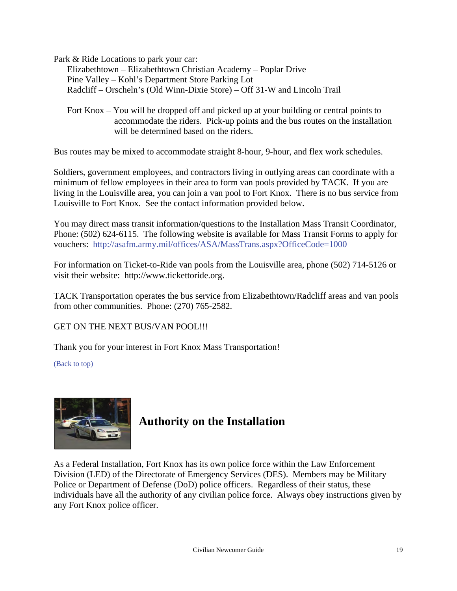Park & Ride Locations to park your car:

 Elizabethtown – Elizabethtown Christian Academy – Poplar Drive Pine Valley – Kohl's Department Store Parking Lot Radcliff – Orscheln's (Old Winn-Dixie Store) – Off 31-W and Lincoln Trail

Fort Knox – You will be dropped off and picked up at your building or central points to accommodate the riders. Pick-up points and the bus routes on the installation will be determined based on the riders.

Bus routes may be mixed to accommodate straight 8-hour, 9-hour, and flex work schedules.

Soldiers, government employees, and contractors living in outlying areas can coordinate with a minimum of fellow employees in their area to form van pools provided by TACK. If you are living in the Louisville area, you can join a van pool to Fort Knox. There is no bus service from Louisville to Fort Knox. See the contact information provided below.

You may direct mass transit information/questions to the Installation Mass Transit Coordinator, Phone: (502) 624-6115. The following website is available for Mass Transit Forms to apply for vouchers: <http://asafm.army.mil/offices/ASA/MassTrans.aspx?OfficeCode=1000>

<span id="page-18-0"></span>For information on Ticket-to-Ride van pools from the Louisville area, phone (502) 714-5126 or visit their website: http://www.tickettoride.org.

TACK Transportation operates the bus service from Elizabethtown/Radcliff areas and van pools from other communities. Phone: (270) 765-2582.

GET ON THE NEXT BUS/VAN POOL!!!

Thank you for your interest in Fort Knox Mass Transportation!

[\(Back to top\)](#page-1-0)



## **Authority on the Installation**

As a Federal Installation, Fort Knox has its own police force within the Law Enforcement Division (LED) of the Directorate of Emergency Services (DES). Members may be Military Police or Department of Defense (DoD) police officers. Regardless of their status, these individuals have all the authority of any civilian police force. Always obey instructions given by any Fort Knox police officer.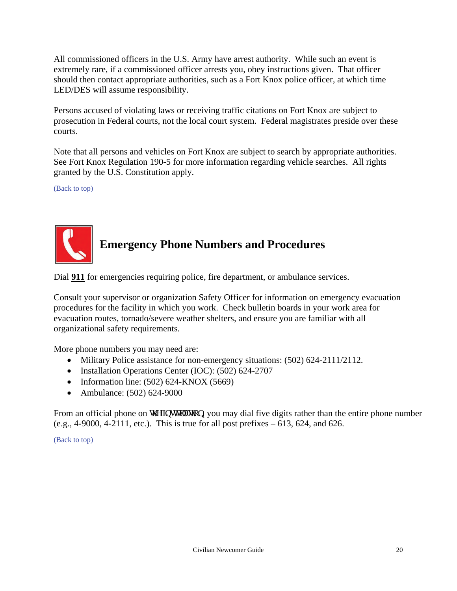All commissioned officers in the U.S. Army have arrest authority. While such an event is extremely rare, if a commissioned officer arrests you, obey instructions given. That officer should then contact appropriate authorities, such as a Fort Knox police officer, at which time LED/DES will assume responsibility.

<span id="page-19-0"></span>Persons accused of violating laws or receiving traffic citations on Fort Knox are subject to prosecution in Federal courts, not the local court system. Federal magistrates preside over these courts.

Note that all persons and vehicles on Fort Knox are subject to search by appropriate authorities. See Fort Knox Regulation 190-5 for more information regarding vehicle searches. All rights granted by the U.S. Constitution apply.

[\(Back to top\)](#page-1-0)



## **Emergency Phone Numbers and Procedures**

Dial **911** for emergencies requiring police, fire department, or ambulance services.

Consult your supervisor or organization Safety Officer for information on emergency evacuation procedures for the facility in which you work. Check bulletin boards in your work area for evacuation routes, tornado/severe weather shelters, and ensure you are familiar with all organizational safety requirements.

More phone numbers you may need are:

- Military Police assistance for non-emergency situations: (502) 624-2111/2112.
- Installation Operations Center (IOC): (502) 624-2707
- Information line:  $(502)$  624-KNOX  $(5669)$
- Ambulance: (502) 624-9000

From an official phone on y g'lpux mx kqp, you may dial five digits rather than the entire phone number (e.g.,  $4-9000$ ,  $4-2111$ , etc.). This is true for all post prefixes  $-613$ ,  $624$ , and  $626$ .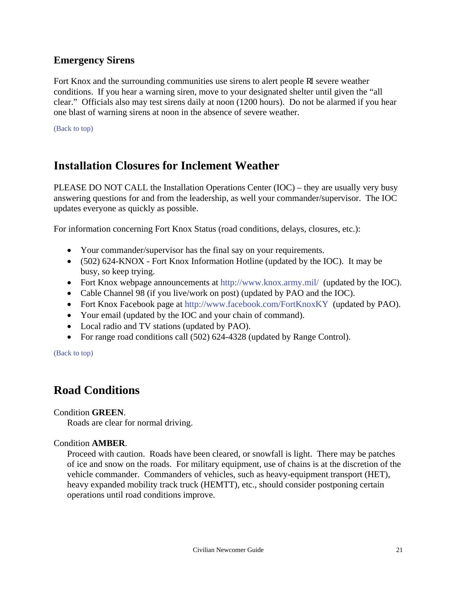### <span id="page-20-1"></span><span id="page-20-0"></span>**Emergency Sirens**

Fort Knox and the surrounding communities use sirens to alert people ghas even weather conditions. If you hear a warning siren, move to your designated shelter until given the "all clear." Officials also may test sirens daily at noon (1200 hours). Do not be alarmed if you hear one blast of warning sirens at noon in the absence of severe weather.

[\(Back to top\)](#page-1-0)

## **Installation Closures for Inclement Weather**

PLEASE DO NOT CALL the Installation Operations Center (IOC) – they are usually very busy answering questions for and from the leadership, as well your commander/supervisor. The IOC updates everyone as quickly as possible.

<span id="page-20-2"></span>For information concerning Fort Knox Status (road conditions, delays, closures, etc.):

- Your commander/supervisor has the final say on your requirements.
- (502) 624-KNOX Fort Knox Information Hotline (updated by the IOC). It may be busy, so keep trying.
- Fort Knox webpage announcements at [http://www.knox.army.mil/](http://www.knox.army.mil) (updated by the IOC).
- Cable Channel 98 (if you live/work on post) (updated by PAO and the IOC).
- Fort Knox Facebook page at<http://www.facebook.com/FortKnoxKY>(updated by PAO).
- Your email (updated by the IOC and your chain of command).
- Local radio and TV stations (updated by PAO).
- For range road conditions call (502) 624-4328 (updated by Range Control).

[\(Back to top\)](#page-1-0)

## **Road Conditions**

Condition **GREEN**.

Roads are clear for normal driving.

#### Condition **AMBER**.

Proceed with caution. Roads have been cleared, or snowfall is light. There may be patches of ice and snow on the roads. For military equipment, use of chains is at the discretion of the vehicle commander. Commanders of vehicles, such as heavy-equipment transport (HET), heavy expanded mobility track truck (HEMTT), etc., should consider postponing certain operations until road conditions improve.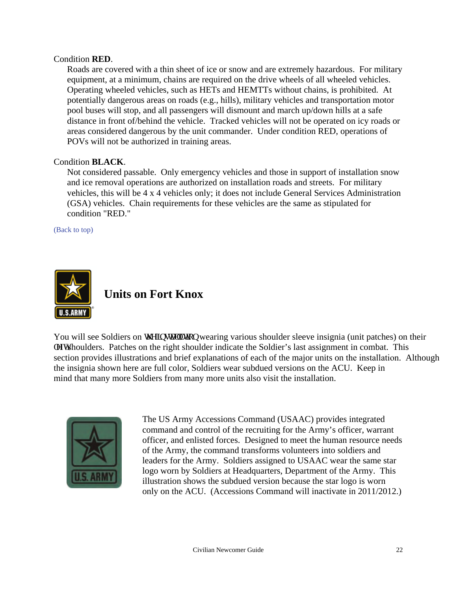#### Condition **RED**.

Roads are covered with a thin sheet of ice or snow and are extremely hazardous. For military equipment, at a minimum, chains are required on the drive wheels of all wheeled vehicles. Operating wheeled vehicles, such as HETs and HEMTTs without chains, is prohibited. At potentially dangerous areas on roads (e.g., hills), military vehicles and transportation motor pool buses will stop, and all passengers will dismount and march up/down hills at a safe distance in front of/behind the vehicle. Tracked vehicles will not be operated on icy roads or areas considered dangerous by the unit commander. Under condition RED, operations of POVs will not be authorized in training areas.

#### <span id="page-21-0"></span>Condition **BLACK**.

Not considered passable. Only emergency vehicles and those in support of installation snow and ice removal operations are authorized on installation roads and streets. For military vehicles, this will be 4 x 4 vehicles only; it does not include General Services Administration (GSA) vehicles. Chain requirements for these vehicles are the same as stipulated for condition "RED."

[\(Back to top\)](#page-1-0)



## **Units on Fort Knox**

You will see Soldiers on y g'lpuxcm: kqp wearing various shoulder sleeve insignia (unit patches) on their rgh when the right shoulder indicate the Soldier's last assignment in combat. This section provides illustrations and brief explanations of each of the major units on the installation. Although the insignia shown here are full color, Soldiers wear subdued versions on the ACU. Keep in mind that many more Soldiers from many more units also visit the installation.



The US Army Accessions Command (USAAC) provides integrated command and control of the recruiting for the Army's officer, warrant officer, and enlisted forces. Designed to meet the human resource needs of the Army, the command transforms volunteers into soldiers and leaders for the Army. Soldiers assigned to USAAC wear the same star logo worn by Soldiers at Headquarters, Department of the Army. This illustration shows the subdued version because the star logo is worn only on the ACU. (Accessions Command will inactivate in 2011/2012.)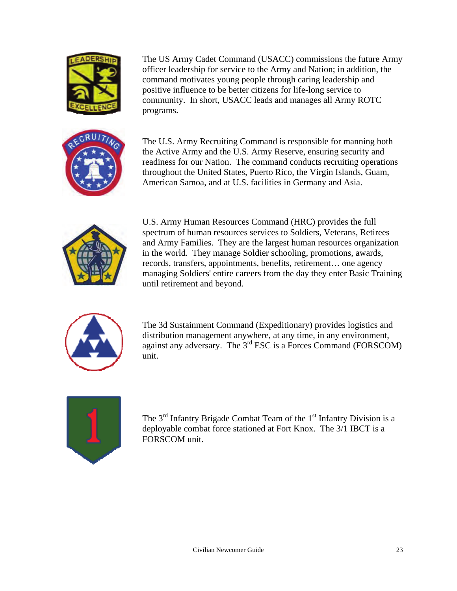

The US Army Cadet Command (USACC) commissions the future Army officer leadership for service to the Army and Nation; in addition, the command motivates young people through caring leadership and positive influence to be better citizens for life-long service to community. In short, USACC leads and manages all Army ROTC programs.

The U.S. Army Recruiting Command is responsible for manning both the Active Army and the U.S. Army Reserve, ensuring security and readiness for our Nation. The command conducts recruiting operations throughout the United States, Puerto Rico, the Virgin Islands, Guam, American Samoa, and at U.S. facilities in Germany and Asia.



U.S. Army Human Resources Command (HRC) provides the full spectrum of human resources services to Soldiers, Veterans, Retirees and Army Families. They are the largest human resources organization in the world. They manage Soldier schooling, promotions, awards, records, transfers, appointments, benefits, retirement… one agency managing Soldiers' entire careers from the day they enter Basic Training until retirement and beyond.



The 3d Sustainment Command (Expeditionary) provides logistics and distribution management anywhere, at any time, in any environment, against any adversary. The  $3<sup>rd</sup>$  ESC is a Forces Command (FORSCOM) unit.



The  $3<sup>rd</sup>$  Infantry Brigade Combat Team of the  $1<sup>st</sup>$  Infantry Division is a deployable combat force stationed at Fort Knox. The 3/1 IBCT is a FORSCOM unit.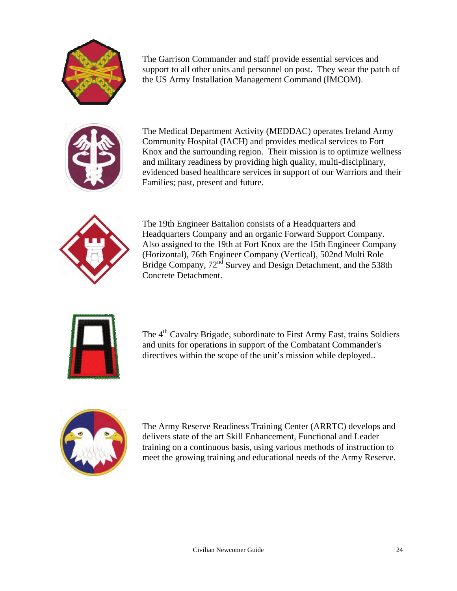

The Garrison Commander and staff provide essential services and support to all other units and personnel on post. They wear the patch of the US Army Installation Management Command (IMCOM).



The Medical Department Activity (MEDDAC) operates Ireland Army Community Hospital (IACH) and provides medical services to Fort Knox and the surrounding region. Their mission is to optimize wellness and military readiness by providing high quality, multi-disciplinary, evidenced based healthcare services in support of our Warriors and their Families; past, present and future.



The 19th Engineer Battalion consists of a Headquarters and Headquarters Company and an organic Forward Support Company. Also assigned to the 19th at Fort Knox are the 15th Engineer Company (Horizontal), 76th Engineer Company (Vertical), 502nd Multi Role Bridge Company, 72<sup>nd</sup> Survey and Design Detachment, and the 538th Concrete Detachment.



The 4<sup>th</sup> Cavalry Brigade, subordinate to First Army East, trains Soldiers and units for operations in support of the Combatant Commander's directives within the scope of the unit's mission while deployed..



The Army Reserve Readiness Training Center (ARRTC) develops and delivers state of the art Skill Enhancement, Functional and Leader training on a continuous basis, using various methods of instruction to meet the growing training and educational needs of the Army Reserve.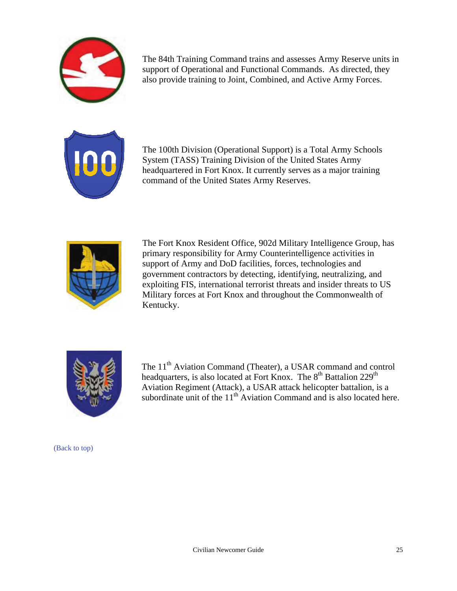

The 84th Training Command trains and assesses Army Reserve units in support of Operational and Functional Commands. As directed, they also provide training to Joint, Combined, and Active Army Forces.



The 100th Division (Operational Support) is a Total Army Schools System (TASS) Training Division of the United States Army headquartered in Fort Knox. It currently serves as a major training command of the United States Army Reserves.



The Fort Knox Resident Office, 902d Military Intelligence Group, has primary responsibility for Army Counterintelligence activities in support of Army and DoD facilities, forces, technologies and government contractors by detecting, identifying, neutralizing, and exploiting FIS, international terrorist threats and insider threats to US Military forces at Fort Knox and throughout the Commonwealth of Kentucky.



The 11<sup>th</sup> Aviation Command (Theater), a USAR command and control headquarters, is also located at Fort Knox. The 8<sup>th</sup> Battalion 229<sup>th</sup> Aviation Regiment (Attack), a USAR attack helicopter battalion, is a subordinate unit of the  $11<sup>th</sup>$  Aviation Command and is also located here.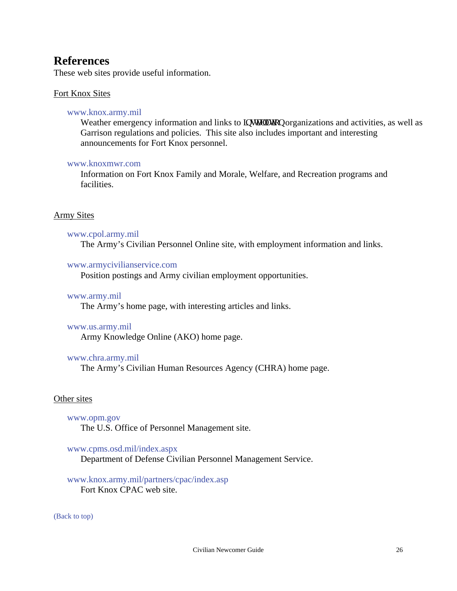## <span id="page-25-0"></span>**References**

These web sites provide useful information.

#### Fort Knox Sites

#### [www.knox.army.mil](http://www.knox.army.mil)

Weather emergency information and links to kpuxcm: kp organizations and activities, as well as Garrison regulations and policies. This site also includes important and interesting announcements for Fort Knox personnel.

#### [www.knoxmwr.com](http://www.knoxmwr.com)

Information on Fort Knox Family and Morale, Welfare, and Recreation programs and facilities.

#### Army Sites

#### [www.cpol.army.mil](http://www.cpol.army.mil)

The Army's Civilian Personnel Online site, with employment information and links.

#### [www.armycivilianservice.com](http://www.armycivilianservice.com)

Position postings and Army civilian employment opportunities.

#### [www.army.mil](http://www.army.mil)

The Army's home page, with interesting articles and links.

#### [www.us.army.mil](http://www.us.army.mil)

Army Knowledge Online (AKO) home page.

#### [www.chra.army.mil](http://www.chra.army.mil)

The Army's Civilian Human Resources Agency (CHRA) home page.

#### Other sites

#### [www.opm.gov](http://www.opm.gov)

The U.S. Office of Personnel Management site.

#### [www.cpms.osd.mil/index.aspx](http://www.cpms.osd.mil/index.aspx)

Department of Defense Civilian Personnel Management Service.

#### [www.knox.army.mil/partners/cpac/index.asp](http://www.knox.army.mil/partners/cpac/index.asp) Fort Knox CPAC web site.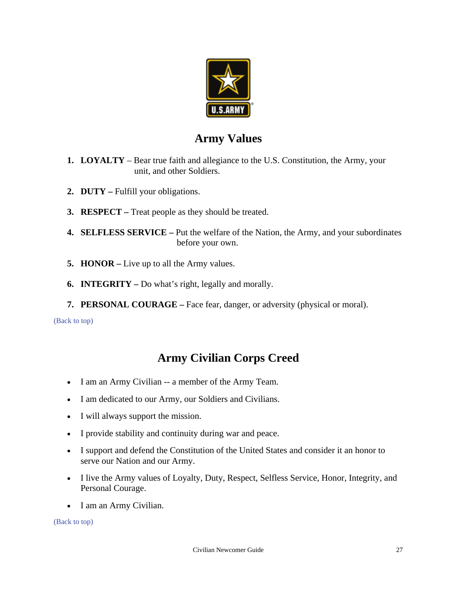

## **Army Values**

- <span id="page-26-0"></span>**1. LOYALTY** – Bear true faith and allegiance to the U.S. Constitution, the Army, your unit, and other Soldiers.
- **2. DUTY** Fulfill your obligations.
- **3. RESPECT** Treat people as they should be treated.
- **4. SELFLESS SERVICE** Put the welfare of the Nation, the Army, and your subordinates before your own.
- **5. HONOR** Live up to all the Army values.
- **6. INTEGRITY** Do what's right, legally and morally.
- **7. PERSONAL COURAGE** Face fear, danger, or adversity (physical or moral).

[\(Back to top\)](#page-1-0)

## **Army Civilian Corps Creed**

- I am an Army Civilian -- a member of the Army Team.
- I am dedicated to our Army, our Soldiers and Civilians.
- I will always support the mission.
- I provide stability and continuity during war and peace.
- I support and defend the Constitution of the United States and consider it an honor to serve our Nation and our Army.
- I live the Army values of Loyalty, Duty, Respect, Selfless Service, Honor, Integrity, and Personal Courage.
- I am an Army Civilian.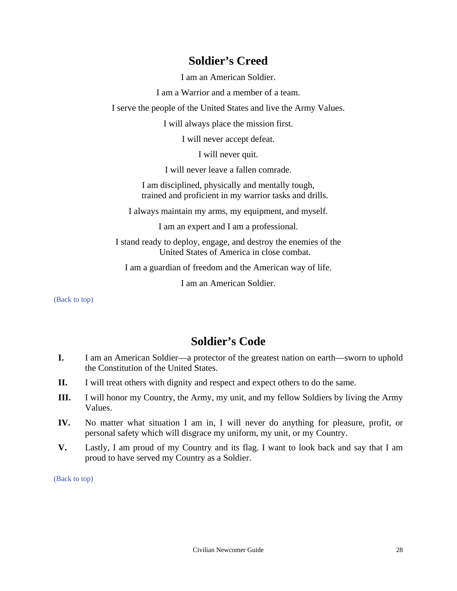## **Soldier's Creed**

I am an American Soldier.

I am a Warrior and a member of a team.

<span id="page-27-0"></span>I serve the people of the United States and live the Army Values.

I will always place the mission first.

I will never accept defeat.

I will never quit.

I will never leave a fallen comrade.

I am disciplined, physically and mentally tough, trained and proficient in my warrior tasks and drills.

I always maintain my arms, my equipment, and myself.

I am an expert and I am a professional.

I stand ready to deploy, engage, and destroy the enemies of the United States of America in close combat.

I am a guardian of freedom and the American way of life.

I am an American Soldier.

<span id="page-27-1"></span>[\(Back to top\)](#page-1-0)

## **Soldier's Code**

- **I.** I am an American Soldier—a protector of the greatest nation on earth—sworn to uphold the Constitution of the United States.
- **II.** I will treat others with dignity and respect and expect others to do the same.
- **III.** I will honor my Country, the Army, my unit, and my fellow Soldiers by living the Army Values.
- **IV.** No matter what situation I am in, I will never do anything for pleasure, profit, or personal safety which will disgrace my uniform, my unit, or my Country.
- **V.** Lastly, I am proud of my Country and its flag. I want to look back and say that I am proud to have served my Country as a Soldier.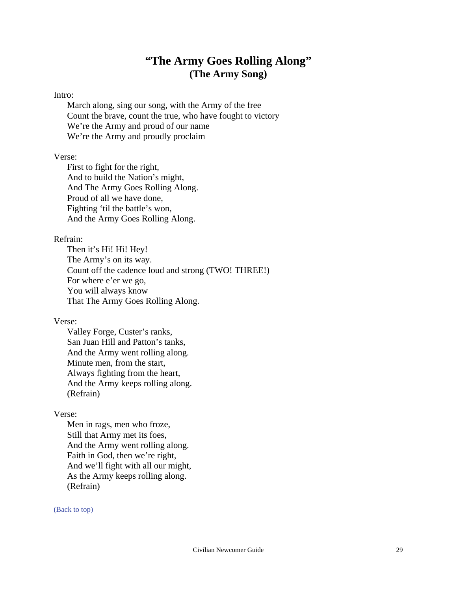## **"The Army Goes Rolling Along" (The Army Song)**

#### <span id="page-28-0"></span>Intro:

March along, sing our song, with the Army of the free Count the brave, count the true, who have fought to victory We're the Army and proud of our name We're the Army and proudly proclaim

#### Verse:

First to fight for the right, And to build the Nation's might, And The Army Goes Rolling Along. Proud of all we have done, Fighting 'til the battle's won, And the Army Goes Rolling Along.

#### Refrain:

Then it's Hi! Hi! Hey! The Army's on its way. Count off the cadence loud and strong (TWO! THREE!) For where e'er we go, You will always know That The Army Goes Rolling Along.

#### Verse:

Valley Forge, Custer's ranks, San Juan Hill and Patton's tanks, And the Army went rolling along. Minute men, from the start, Always fighting from the heart, And the Army keeps rolling along. (Refrain)

#### Verse:

Men in rags, men who froze, Still that Army met its foes, And the Army went rolling along. Faith in God, then we're right, And we'll fight with all our might, As the Army keeps rolling along. (Refrain)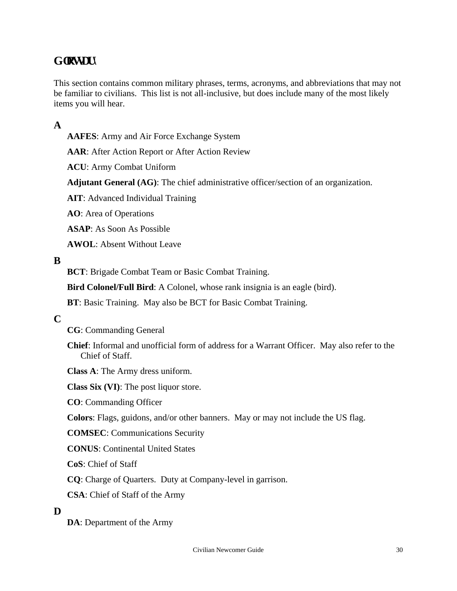## <span id="page-29-0"></span> $G$ **n**

This section contains common military phrases, terms, acronyms, and abbreviations that may not be familiar to civilians. This list is not all-inclusive, but does include many of the most likely items you will hear.

### **A**

**AAFES**: Army and Air Force Exchange System

**AAR**: After Action Report or After Action Review

**ACU**: Army Combat Uniform

**Adjutant General (AG)**: The chief administrative officer/section of an organization.

**AIT**: Advanced Individual Training

**AO**: Area of Operations

**ASAP**: As Soon As Possible

**AWOL**: Absent Without Leave

#### **B**

**BCT**: Brigade Combat Team or Basic Combat Training.

**Bird Colonel/Full Bird**: A Colonel, whose rank insignia is an eagle (bird).

**BT**: Basic Training. May also be BCT for Basic Combat Training.

#### **C**

**CG**: Commanding General

**Chief**: Informal and unofficial form of address for a Warrant Officer. May also refer to the Chief of Staff.

**Class A**: The Army dress uniform.

**Class Six (VI)**: The post liquor store.

**CO**: Commanding Officer

**Colors**: Flags, guidons, and/or other banners. May or may not include the US flag.

**COMSEC**: Communications Security

**CONUS**: Continental United States

**CoS**: Chief of Staff

**CQ**: Charge of Quarters. Duty at Company-level in garrison.

**CSA**: Chief of Staff of the Army

#### **D**

**DA**: Department of the Army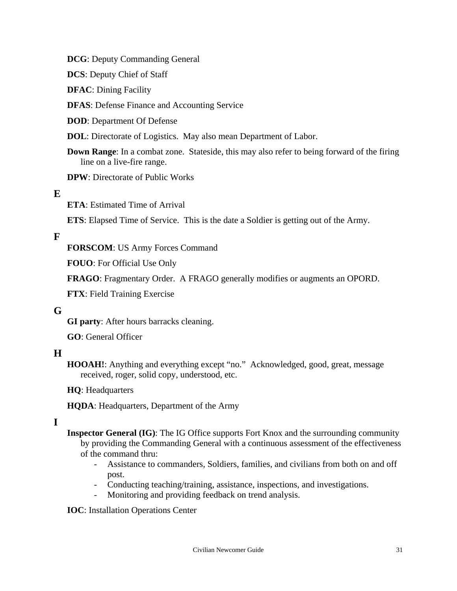**DCG**: Deputy Commanding General

**DCS**: Deputy Chief of Staff

**DFAC**: Dining Facility

**DFAS**: Defense Finance and Accounting Service

**DOD**: Department Of Defense

**DOL**: Directorate of Logistics. May also mean Department of Labor.

**Down Range:** In a combat zone. Stateside, this may also refer to being forward of the firing line on a live-fire range.

**DPW**: Directorate of Public Works

### **E**

**ETA**: Estimated Time of Arrival

**ETS**: Elapsed Time of Service. This is the date a Soldier is getting out of the Army.

### **F**

**FORSCOM**: US Army Forces Command

**FOUO**: For Official Use Only

**FRAGO**: Fragmentary Order. A FRAGO generally modifies or augments an OPORD.

**FTX**: Field Training Exercise

#### **G**

**GI party**: After hours barracks cleaning.

**GO**: General Officer

### **H**

HOOAH!: Anything and everything except "no." Acknowledged, good, great, message received, roger, solid copy, understood, etc.

**HQ**: Headquarters

**HQDA**: Headquarters, Department of the Army

### **I**

**Inspector General (IG)**: The IG Office supports Fort Knox and the surrounding community by providing the Commanding General with a continuous assessment of the effectiveness of the command thru:

- Assistance to commanders, Soldiers, families, and civilians from both on and off post.
- Conducting teaching/training, assistance, inspections, and investigations.
- Monitoring and providing feedback on trend analysis.

**IOC**: Installation Operations Center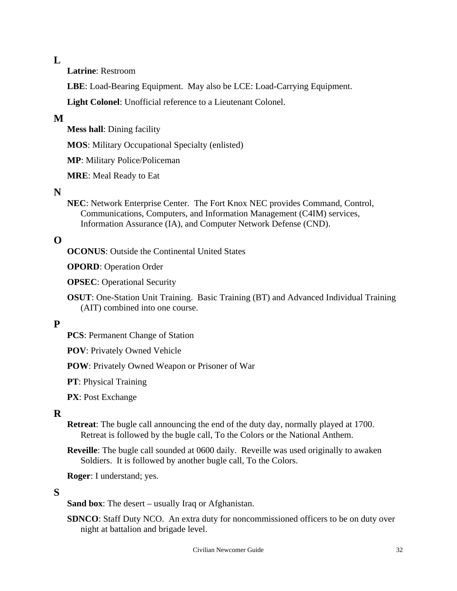#### $\mathbf{L}$

**Latrine**: Restroom

**LBE**: Load-Bearing Equipment. May also be LCE: Load-Carrying Equipment.

**Light Colonel**: Unofficial reference to a Lieutenant Colonel.

### **M**

**Mess hall**: Dining facility

**MOS**: Military Occupational Specialty (enlisted)

**MP**: Military Police/Policeman

**MRE**: Meal Ready to Eat

### **N**

**NEC**: Network Enterprise Center. The Fort Knox NEC provides Command, Control, Communications, Computers, and Information Management (C4IM) services, Information Assurance (IA), and Computer Network Defense (CND).

### **O**

**OCONUS**: Outside the Continental United States

**OPORD**: Operation Order

**OPSEC**: Operational Security

**OSUT**: One-Station Unit Training. Basic Training (BT) and Advanced Individual Training (AIT) combined into one course.

### **P**

**PCS**: Permanent Change of Station

**POV**: Privately Owned Vehicle

**POW**: Privately Owned Weapon or Prisoner of War

**PT**: Physical Training

**PX**: Post Exchange

#### **R**

- **Retreat**: The bugle call announcing the end of the duty day, normally played at 1700. Retreat is followed by the bugle call, To the Colors or the National Anthem.
- **Reveille**: The bugle call sounded at 0600 daily. Reveille was used originally to awaken Soldiers. It is followed by another bugle call, To the Colors.

**Roger**: I understand; yes.

#### **S**

**Sand box**: The desert – usually Iraq or Afghanistan.

**SDNCO**: Staff Duty NCO. An extra duty for noncommissioned officers to be on duty over night at battalion and brigade level.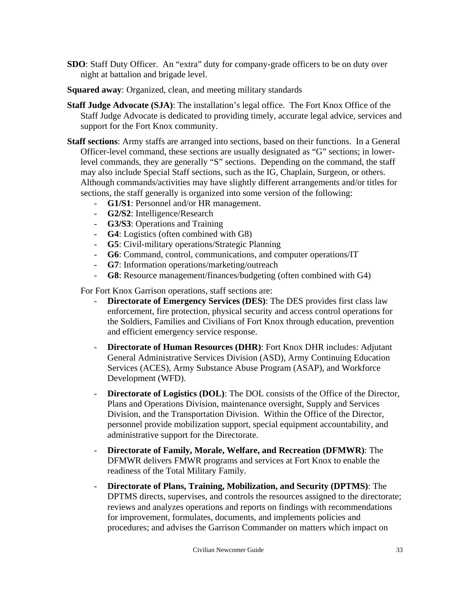- **SDO**: Staff Duty Officer. An "extra" duty for company-grade officers to be on duty over night at battalion and brigade level.
- **Squared away**: Organized, clean, and meeting military standards
- **Staff Judge Advocate (SJA)**: The installation's legal office. The Fort Knox Office of the Staff Judge Advocate is dedicated to providing timely, accurate legal advice, services and support for the Fort Knox community.
- **Staff sections**: Army staffs are arranged into sections, based on their functions. In a General Officer-level command, these sections are usually designated as "G" sections; in lowerlevel commands, they are generally "S" sections. Depending on the command, the staff may also include Special Staff sections, such as the IG, Chaplain, Surgeon, or others. Although commands/activities may have slightly different arrangements and/or titles for sections, the staff generally is organized into some version of the following:
	- **G1/S1**: Personnel and/or HR management.
	- **G2/S2**: Intelligence/Research
	- **G3/S3**: Operations and Training
	- **G4**: Logistics (often combined with G8)
	- **G5**: Civil-military operations/Strategic Planning
	- **G6**: Command, control, communications, and computer operations/IT
	- **G7**: Information operations/marketing/outreach
	- **G8**: Resource management/finances/budgeting (often combined with G4)

For Fort Knox Garrison operations, staff sections are:

- **Directorate of Emergency Services (DES)**: The DES provides first class law enforcement, fire protection, physical security and access control operations for the Soldiers, Families and Civilians of Fort Knox through education, prevention and efficient emergency service response.
- **Directorate of Human Resources (DHR)**: Fort Knox DHR includes: Adjutant General Administrative Services Division (ASD), Army Continuing Education Services (ACES), Army Substance Abuse Program (ASAP), and Workforce Development (WFD).
- **Directorate of Logistics (DOL):** The DOL consists of the Office of the Director, Plans and Operations Division, maintenance oversight, Supply and Services Division, and the Transportation Division. Within the Office of the Director, personnel provide mobilization support, special equipment accountability, and administrative support for the Directorate.
- **Directorate of Family, Morale, Welfare, and Recreation (DFMWR)**: The DFMWR delivers FMWR programs and services at Fort Knox to enable the readiness of the Total Military Family.
- **Directorate of Plans, Training, Mobilization, and Security (DPTMS)**: The DPTMS directs, supervises, and controls the resources assigned to the directorate; reviews and analyzes operations and reports on findings with recommendations for improvement, formulates, documents, and implements policies and procedures; and advises the Garrison Commander on matters which impact on